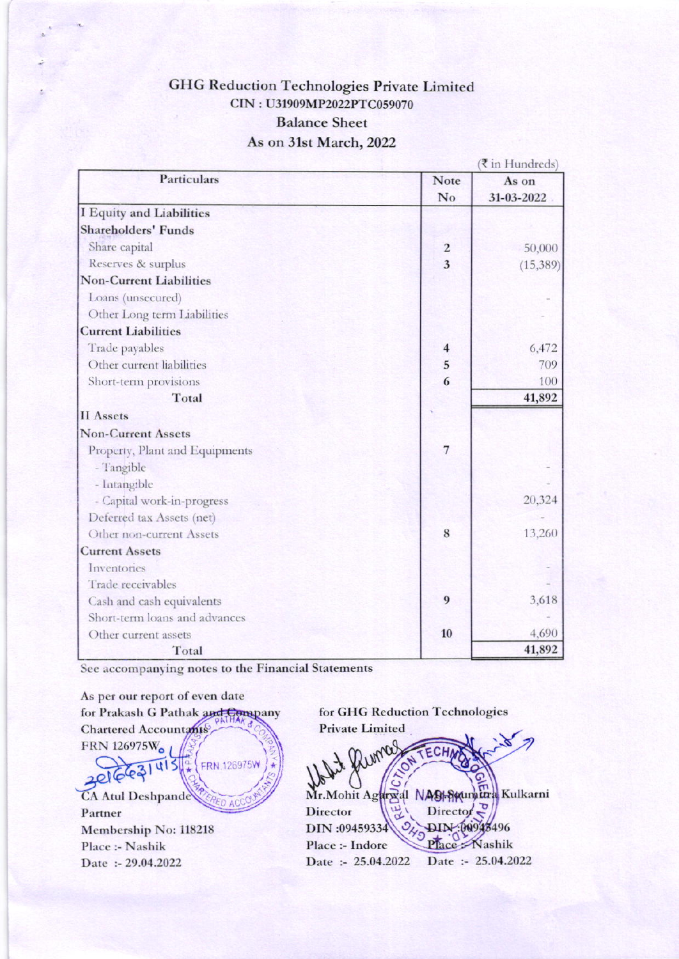## **GHG Reduction Technologies Private Limited** CIN: U31909MP2022PTC059070 **Balance Sheet** As on 31st March, 2022

|                                |                         | ₹ in Hundreds) |
|--------------------------------|-------------------------|----------------|
| <b>Particulars</b>             | Note                    | As on          |
|                                | No                      | 31-03-2022     |
| I Equity and Liabilities       |                         |                |
| <b>Shareholders' Funds</b>     |                         |                |
| Share capital                  | $\overline{c}$          | 50,000         |
| Reserves & surplus             | $\overline{3}$          | (15, 389)      |
| <b>Non-Current Liabilities</b> |                         |                |
| Loans (unsecured)              |                         |                |
| Other Long term Liabilities    |                         |                |
| <b>Current Liabilities</b>     |                         |                |
| Trade payables                 | $\overline{\mathbf{4}}$ | 6,472          |
| Other current liabilities      | 5                       | 709            |
| Short-term provisions          | 6                       | 100            |
| Total                          |                         | 41,892         |
| <b>II</b> Assets               |                         |                |
| <b>Non-Current Assets</b>      |                         |                |
| Property, Plant and Equipments | $\overline{7}$          |                |
| - Tangible                     |                         |                |
| - Intangible                   |                         |                |
| - Capital work-in-progress     |                         | 20,324         |
| Deferred tax Assets (net)      |                         |                |
| Other non-current Assets       | 8                       | 13,260         |
| <b>Current Assets</b>          |                         |                |
| Inventories                    |                         |                |
| Trade receivables              |                         |                |
| Cash and cash equivalents      | 9                       | 3,618          |
| Short-term loans and advances  |                         |                |
| Other current assets           | 10                      | 4,690          |
| Total                          |                         | 41,892         |

See accompanying notes to the Financial Statements

As per our report of even date for Prakash G Pathak and Company **Chartered Accountants** FRN 126975Wo u15 FRN.126975W **CA Atul Deshpande** Partner Membership No: 118218 Place :- Nashik Date: - 29.04.2022

for GHG Reduction Technologies **Private Limited**  $\mathbf C$ Mr. Mohit Agargal NASH Seuman Kulkarni Director  $\sum_{n=1}^{\infty}$ Director DIN:00943496 DIN:09459334 Place Nashik Place :- Indore Date :- 25.04.2022 Date :- 25.04.2022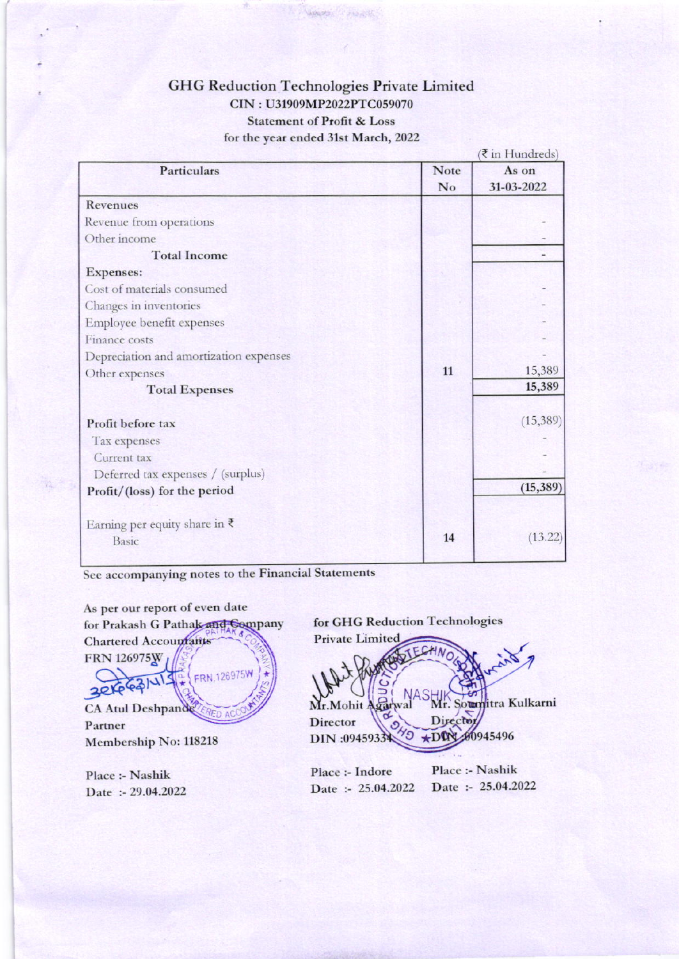## **GHG Reduction Technologies Private Limited** CIN: U31909MP2022PTC059070 **Statement of Profit & Loss** for the year ended 31st March, 2022

|                                         |             | In Hundreas |  |
|-----------------------------------------|-------------|-------------|--|
| Particulars                             | <b>Note</b> | As on       |  |
|                                         | No          | 31-03-2022  |  |
| <b>Revenues</b>                         |             |             |  |
| Revenue from operations                 |             |             |  |
| Other income                            |             |             |  |
| <b>Total Income</b>                     |             |             |  |
| <b>Expenses:</b>                        |             |             |  |
| Cost of materials consumed              |             |             |  |
| Changes in inventories                  |             |             |  |
| Employee benefit expenses               |             |             |  |
| Finance costs                           |             |             |  |
| Depreciation and amortization expenses  |             |             |  |
| Other expenses                          | 11          | 15,389      |  |
| <b>Total Expenses</b>                   |             | 15,389      |  |
| Profit before tax                       |             | (15, 389)   |  |
| Tax expenses                            |             |             |  |
| Current tax                             |             |             |  |
| Deferred tax expenses / (surplus)       |             |             |  |
| Profit/(loss) for the period            |             | (15, 389)   |  |
| Earning per equity share in $\bar{\xi}$ |             |             |  |
| <b>Basic</b>                            | 14          | (13.22)     |  |
|                                         |             |             |  |

See accompanying notes to the Financial Statements

As per our report of even date for GHG Reduction Technologies for Prakash G Pathak and Company **Private Limited** Chartered Accountants **FRN 126975W** FRN.126975W  $30$ Soun titra Kulkarni Mr.Mohit CA Atul Deshpande **RED A** Director **Director** Partner  $45$ 00945496 DIN:09459334  $+DQ$ Membership No: 118218 Place :- Nashik Place :- Indore Place :- Nashik Date :- 25.04.2022 Date :- 25.04.2022 Date: - 29.04.2022